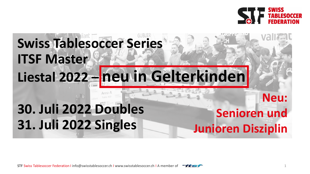

# **Swiss Tablesoccer Series ITSF Master Liestal 2022 – neu in Gelterkinden Neu:**

# **30. Juli 2022 Doubles 31. Juli 2022 Singles**

## **Senioren und Junioren Disziplin**

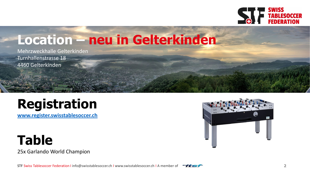

## **Location – neu in Gelterkinden**

Mehrzweckhalle Gelterkinden Turnhallenstrasse 18 4460 Gelterkinden

## **Registration**

**[www.register.swisstablesoccer.ch](http://www.register.swisstablesoccer.ch/)**

**Table** 25x Garlando World Champion



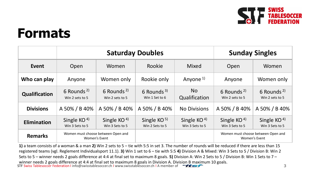

## **Formats**

|                      | <b>Saturday Doubles</b>                             |                                           |                                  |                                  | <b>Sunday Singles</b>                               |                                           |
|----------------------|-----------------------------------------------------|-------------------------------------------|----------------------------------|----------------------------------|-----------------------------------------------------|-------------------------------------------|
| Event                | Open                                                | Women                                     | Rookie                           | Mixed                            | Open                                                | Women                                     |
| Who can play         | Anyone                                              | Women only                                | Rookie only                      | Anyone <sup>1)</sup>             | Anyone                                              | Women only                                |
| <b>Qualification</b> | 6 Rounds <sup>2)</sup><br>Win 2 sets to 5           | 6 Rounds <sup>2)</sup><br>Win 2 sets to 5 | 6 Rounds $3$ )<br>Win 1 Set to 6 | No.<br>Qualification             | 6 Rounds <sup>2)</sup><br>Win 2 sets to 5           | 6 Rounds <sup>2)</sup><br>Win 2 sets to 5 |
| <b>Divisions</b>     | A 50% / B 40%                                       | A 50% / B 40%                             | A 50% / B 40%                    | <b>No Divisions</b>              | A 50% / B 40%                                       | A 50% / B 40%                             |
| <b>Elimination</b>   | Single KO $4$<br>Win 3 Sets to 5                    | Single KO $4$ )<br>Win 3 Sets to 5        | Single $KO5$<br>Win 2 Sets to 5  | Single KO $4$<br>Win 3 Sets to 5 | Single KO $4$<br>Win 3 Sets to 5                    | Single KO $4$<br>Win 3 Sets to 5          |
| <b>Remarks</b>       | Women must choose between Open and<br>Women's Event |                                           |                                  |                                  | Women must choose between Open and<br>Women's Event |                                           |

STF Swiss Tablesoccer Federation I info@swisstablesoccer.ch I www.swisstablesoccer.ch I A member of  $\overline{\phantom{a}}\overline{\phantom{a}}\overline{\phantom{a}}\overline{\phantom{a}}\overline{\phantom{a}}\overline{\phantom{a}}\overline{\phantom{a}}\overline{\phantom{a}}\overline{\phantom{a}}\overline{\phantom{a}}\overline{\phantom{a}}\overline{\phantom{a}}\overline{\phantom{a}}\overline{\$ **1)** a team consists of a woman & a man **2)** Win 2 sets to 5 – tie with 5:5 in set 3. The number of rounds will be reduced if there are less than 15 registered teams (vgl. Reglement Individualsport 11.1). **3)** Win 1 set to 6 – tie with 5:5 **4)** Division A & Mixed: Win 3 Sets to 5 / Division B: Win 2 Sets to 5 – winner needs 2 goals difference at 4:4 at final set to maximum 8 goals. **5)** Division A: Win 2 Sets to 5 / Division B: Win 1 Sets to 7 – winner needs 2 goals difference at 4:4 at final set to maximum 8 goals in Division A. Division B maximum 10 goals.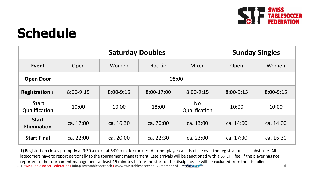

# **Schedule**

|                                      | <b>Saturday Doubles</b> |           |            |                            | <b>Sunday Singles</b> |              |
|--------------------------------------|-------------------------|-----------|------------|----------------------------|-----------------------|--------------|
| Event                                | Open                    | Women     | Rookie     | Mixed                      | Open                  | <b>Women</b> |
| <b>Open Door</b>                     | 08:00                   |           |            |                            |                       |              |
| <b>Registration 1)</b>               | 8:00-9:15               | 8:00-9:15 | 8:00-17:00 | 8:00-9:15                  | 8:00-9:15             | 8:00-9:15    |
| <b>Start</b><br><b>Qualification</b> | 10:00                   | 10:00     | 18:00      | <b>No</b><br>Qualification | 10:00                 | 10:00        |
| <b>Start</b><br><b>Elimination</b>   | ca. 17:00               | ca. 16:30 | ca. 20:00  | ca. 13:00                  | ca. 14:00             | ca. 14:00    |
| <b>Start Final</b>                   | ca. 22:00               | ca. 20:00 | ca. 22:30  | ca. 23:00                  | ca. 17:30             | ca. 16:30    |

STF Swiss Tablesoccer Federation I info@swisstablesoccer.ch I www.swisstablesoccer.ch I A member of **4 4 4 4 1)** Registration closes promptly at 9:30 a.m. or at 5:00 p.m. for rookies. Another player can also take over the registration as a substitute. All latecomers have to report personally to the tournament management. Late arrivals will be sanctioned with a 5.- CHF fee. If the player has not reported to the tournament management at least 15 minutes before the start of the discipline, he will be excluded from the discipline.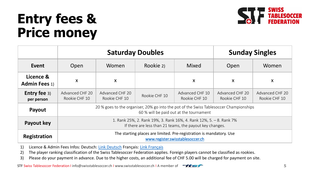# **Entry fees & Price money**



|                                   | <b>Saturday Doubles</b>                                                                                                           |                                  |               |                                  | <b>Sunday Singles</b>            |                                  |
|-----------------------------------|-----------------------------------------------------------------------------------------------------------------------------------|----------------------------------|---------------|----------------------------------|----------------------------------|----------------------------------|
| Event                             | Open                                                                                                                              | Women                            | Rookie 2)     | Mixed                            | Open                             | Women                            |
| Licence &<br><b>Admin Fees 1)</b> | X                                                                                                                                 | X                                |               | $\boldsymbol{X}$                 | X                                | X                                |
| <b>Entry fee 3)</b><br>per person | Advanced CHF 20<br>Rookie CHF 10                                                                                                  | Advanced CHF 20<br>Rookie CHF 10 | Rookie CHF 10 | Advanced CHF 10<br>Rookie CHF 10 | Advanced CHF 20<br>Rookie CHF 10 | Advanced CHF 20<br>Rookie CHF 10 |
| Payout                            | 20 % goes to the organiser, 20% go into the pot of the Swiss Tablesoccer Championships<br>60 % will be paid out at the tournament |                                  |               |                                  |                                  |                                  |
| <b>Payout key</b>                 | 1. Rank 25%, 2. Rank 19%, 3. Rank 16%, 4. Rank 12%, 5. - 8. Rank 7%<br>If there are less than 21 teams, the payout key changes.   |                                  |               |                                  |                                  |                                  |
| Registration                      | The starting places are limited. Pre-registration is mandatory. Use<br>www.register.swisstablesoccer.ch                           |                                  |               |                                  |                                  |                                  |

1) Licence & Admin Fees Infos: Deutsch: [Link Deutsch](https://swisstablesoccer.ch/index.php/de/spielbetrieb/lizenzierung) Français: [Link Français](https://swisstablesoccer.ch/index.php/fr/competitions/licence)

2) The player ranking classification of the Swiss Tablesoccer Federation applies. Foreign players cannot be classified as rookies.

3) Please do your payment in advance. Due to the higher costs, an additional fee of CHF 5.00 will be charged for payment on site.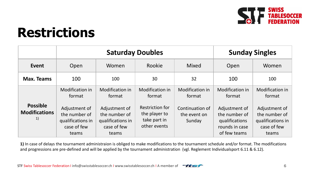

## **Restrictions**

|                                               | <b>Saturday Doubles</b>                                                     |                                                                             |                                                                  |                                           | <b>Sunday Singles</b>                                                              |                                                                             |
|-----------------------------------------------|-----------------------------------------------------------------------------|-----------------------------------------------------------------------------|------------------------------------------------------------------|-------------------------------------------|------------------------------------------------------------------------------------|-----------------------------------------------------------------------------|
| Event                                         | Open                                                                        | Women                                                                       | Rookie                                                           | Mixed                                     | Open                                                                               | Women                                                                       |
| Max. Teams                                    | 100                                                                         | 100                                                                         | 30                                                               | 32                                        | 100                                                                                | 100                                                                         |
|                                               | Modification in<br>format                                                   | <b>Modification in</b><br>format                                            | <b>Modification in</b><br>format                                 | Modification in<br>format                 | Modification in<br>format                                                          | <b>Modification in</b><br>format                                            |
| <b>Possible</b><br><b>Modifications</b><br>1) | Adjustment of<br>the number of<br>qualifications in<br>case of few<br>teams | Adjustment of<br>the number of<br>qualifications in<br>case of few<br>teams | Restriction for<br>the player to<br>take part in<br>other events | Continuation of<br>the event on<br>Sunday | Adjustment of<br>the number of<br>qualifications<br>rounds in case<br>of few teams | Adjustment of<br>the number of<br>qualifications in<br>case of few<br>teams |

**1)** In case of delays the tournament administraion is obliged to make modifications to the tournament schedule and/or format. The modifications and progressions are pre-defined and will be applied by the tournament administration (vgl. Reglement Individualsport 6.11 & 6.12).

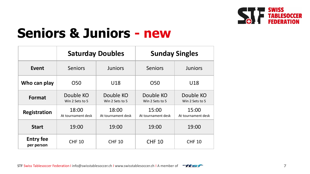

## **Seniors & Juniors - new**

|                                |                                  | <b>Saturday Doubles</b>      | <b>Sunday Singles</b>        |                              |  |
|--------------------------------|----------------------------------|------------------------------|------------------------------|------------------------------|--|
| Event                          | <b>Seniors</b><br><b>Juniors</b> |                              | <b>Seniors</b>               | <b>Juniors</b>               |  |
| Who can play                   | O <sub>50</sub>                  | U18                          | O <sub>50</sub>              | U18                          |  |
| Format                         | Double KO<br>Win 2 Sets to 5     | Double KO<br>Win 2 Sets to 5 | Double KO<br>Win 2 Sets to 5 | Double KO<br>Win 2 Sets to 5 |  |
| <b>Registration</b>            | 18:00<br>At tournament desk      | 18:00<br>At tournament desk  | 15:00<br>At tournament desk  | 15:00<br>At tournament desk  |  |
| <b>Start</b>                   | 19:00                            | 19:00                        | 19:00                        | 19:00                        |  |
| <b>Entry fee</b><br>per person | <b>CHF 10</b>                    | <b>CHF 10</b>                | <b>CHF 10</b>                | <b>CHF 10</b>                |  |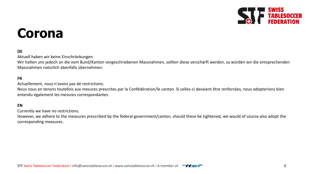

## **Corona**

## **DE**

Aktuell haben wir keine Einschränkungen.

Wir halten uns jedoch an die vom Bund/Kanton vorgeschriebenen Massnahmen, sollten diese verschärft werden, so würden wir die entsprechenden Massnahmen natürlich ebenfalls übernehmen.

#### **FR**

Actuellement, nous n'avons pas de restrictions.

Nous nous en tenons toutefois aux mesures prescrites par la Confédération/le canton. Si celles-ci devaient être renforcées, nous adopterions bien entendu également les mesures correspondantes.

#### **EN**

Currently we have no restrictions.

However, we adhere to the measures prescribed by the federal government/canton, should these be tightened, we would of course also adopt the corresponding measures.

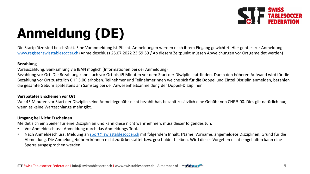

# **Anmeldung (DE)**

Die Startplätze sind beschränkt. Eine Voranmeldung ist Pflicht. Anmeldungen werden nach ihrem Eingang gewichtet. Hier geht es zur Anmeldung: [www.register.swisstablesoccer.ch](http://www.register.swisstablesoccer.ch/) (Anmeldeschluss 25.07.2022 23:59:59 / Ab diesem Zeitpunkt müssen Abweichungen vor Ort gemeldet werden)

### **Bezahlung**

Vorauszahlung: Bankzahlung via IBAN möglich (Informationen bei der Anmeldung)

Bezahlung vor Ort: Die Bezahlung kann auch vor Ort bis 45 Minuten vor dem Start der Disziplin stattfinden. Durch den höheren Aufwand wird für die Bezahlung vor Ort zusätzlich CHF 5.00 erhoben. Teilnehmer und Teilnehmerinnen welche sich für die Doppel und Einzel Disziplin anmelden, bezahlen die gesamte Gebühr spätestens am Samstag bei der Anwesenheitsanmeldung der Doppel-Disziplinen.

#### **Verspätetes Erscheinen vor Ort**

Wer 45 Minuten vor Start der Disziplin seine Anmeldegebühr nicht bezahlt hat, bezahlt zusätzlich eine Gebühr von CHF 5.00. Dies gilt natürlich nur, wenn es keine Warteschlange mehr gibt.

### **Umgang bei Nicht Erscheinen**

Meldet sich ein Spieler für eine Disziplin an und kann diese nicht wahrnehmen, muss dieser folgendes tun:

- Vor Anmeldeschluss: Abmeldung durch das Anmeldungs-Tool.
- Nach Anmeldeschluss: Meldung an [sport@swisstablesoccer.ch](mailto:sport@swisstablesoccer.ch) mit folgendem Inhalt: (Name, Vorname, angemeldete Disziplinen, Grund für die Abmeldung. Die Anmeldegebühren können nicht zurückerstattet bzw. geschuldet bleiben. Wird dieses Vorgehen nicht eingehalten kann eine Sperre ausgesprochen werden.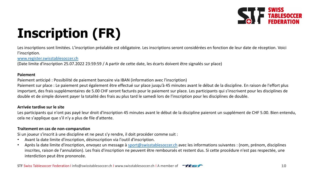

# **Inscription (FR)**

Les inscriptions sont limitées. L'inscription préalable est obligatoire. Les inscriptions seront considérées en fonction de leur date de réception. Voici l'inscription.

[www.register.swisstablesoccer.ch](http://www.register.swisstablesoccer.ch/)

(Date limite d'inscription 25.07.2022 23:59:59 / A partir de cette date, les écarts doivent être signalés sur place)

#### **Paiement**

Paiement anticipé : Possibilité de paiement bancaire via IBAN (information avec l'inscription)

Paiement sur place : Le paiement peut également être effectué sur place jusqu'à 45 minutes avant le début de la discipline. En raison de l'effort plus important, des frais supplémentaires de 5.00 CHF seront facturés pour le paiement sur place. Les participants qui s'inscrivent pour les disciplines de double et de simple doivent payer la totalité des frais au plus tard le samedi lors de l'inscription pour les disciplines de double.

### **Arrivée tardive sur le site**

Les participants qui n'ont pas payé leur droit d'inscription 45 minutes avant le début de la discipline paieront un supplément de CHF 5.00. Bien entendu, cela ne s'applique que s'il n'y a plus de file d'attente.

### **Traitement en cas de non-comparution**

Si un joueur s'inscrit à une discipline et ne peut s'y rendre, il doit procéder comme suit :

- Avant la date limite d'inscription, désinscription via l'outil d'inscription.
- Après la date limite d'inscription, envoyez un message à [sport@swisstablesoccer.ch](mailto:sport@swisstablesoccer.ch) avec les informations suivantes : (nom, prénom, disciplines inscrites, raison de l'annulation). Les frais d'inscription ne peuvent être remboursés et restent dus. Si cette procédure n'est pas respectée, une interdiction peut être prononcée.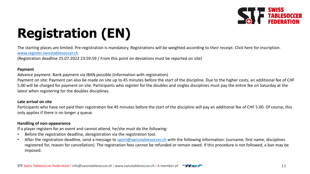

# **Registration (EN)**

The starting places are limited. Pre-registration is mandatory. Registrations will be weighted according to their receipt. Click here for inscription.

### [www.register.swisstablesoccer.ch](http://www.register.swisstablesoccer.ch/)

(Registration deadline 25.07.2022 23:59:59 / From this point on deviations must be reported on site)

### **Payment**

Advance payment: Bank payment via IBAN possible (information with registration)

Payment on site: Payment can also be made on site up to 45 minutes before the start of the discipline. Due to the higher costs, an additional fee of CHF 5.00 will be charged for payment on site. Participants who register for the doubles and singles disciplines must pay the entire fee on Saturday at the latest when registering for the doubles disciplines.

### **Late arrival on site**

Participants who have not paid their registration fee 45 minutes before the start of the discipline will pay an additional fee of CHF 5.00. Of course, this only applies if there is no longer a queue.

### **Handling of non-appearance**

If a player registers for an event and cannot attend, he/she must do the following:

- Before the registration deadline, deregistration via the registration tool.
- After the registration deadline, send a message to [sport@swisstablesoccer.ch](mailto:sport@swisstablesoccer.ch) with the following information: (surname, first name, disciplines registered for, reason for cancellation). The registration fees cannot be refunded or remain owed. If this procedure is not followed, a ban may be imposed.

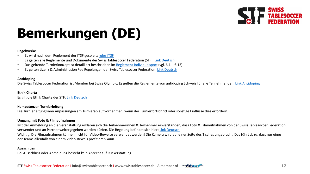

# **Bemerkungen (DE)**

#### **Regelwerke**

- Es wird nach dem Reglement der ITSF gespielt: [rules](https://www.tablesoccer.org/page/rules) ITSF
- Es gelten alle Reglemente und Dokumente der Swiss Tablesoccer Federation (STF): [Link Deutsch](https://swisstablesoccer.ch/index.php/de/verband/dokumente)
- Das geltende Turnierkonzept ist detailliert beschrieben im [Reglement Individualsport](https://swisstablesoccer.ch/media/attachments/2019/12/25/reglement-individualsport1.pdf) (vgl. 6.1 6.12)
- Es gelten Lizenz & Administration Fee Regelungen der Swiss Tablesoccer Federation: [Link Deutsch](https://swisstablesoccer.ch/index.php/de/spielbetrieb/lizenzierung)

#### **Antidoping**

Die Swiss Tablesoccer Federation ist Member bei Swiss Olympic. Es gelten die Reglemente von antidoping Schweiz für alle Teilnehmenden. [Link Antidoping](https://www.antidoping.ch/de)

#### **Ethik Charta**

Es gilt die Ethik Charte der STF: [Link Deutsch](https://swisstablesoccer.ch/media/attachments/2018/12/18/ethik_charta_stf_2018_de_20181106.pdf)

#### **Kompetenzen Turnierleitung**

Die Turnierleitung kann Anpassungen am Turnierablauf vornehmen, wenn der Turnierfortschritt oder sonstige Einflüsse dies erfordern.

#### **Umgang mit Foto & Filmaufnahmen**

Mit der Anmeldung an die Veranstaltung erklären sich die Teilnehmerinnen & Teilnehmer einverstanden, dass Foto & Filmaufnahmen von der Swiss Tablesoccer Federation verwendet und an Partner weitergegeben werden dürfen. Die Regelung befindet sich hier: [Link Deutsch](https://swisstablesoccer.ch/index.php/de/spielbetrieb/lizenzierung) Wichtig: Die Filmaufnahmen können nicht für Video-Beweise verwendet werden! Die Kamera wird auf einer Seite des Tisches angebracht. Das führt dazu, dass nur eines der Teams allenfalls von einem Video-Beweis profitieren kann.

#### **Ausschluss**

Bei Ausschluss oder Abmeldung besteht kein Anrecht auf Rückerstattung.

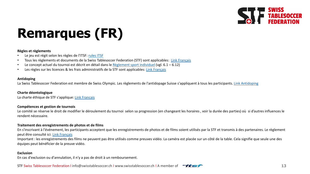

# **Remarques (FR)**

#### **Règles et règlements**

- Le jeu est régit selon les règles de l'ITSF: [rules](https://www.tablesoccer.org/page/rules) ITSF
- Tous les règlements et documents de la Swiss Tablesoccer Federation (STF) sont applicables: [Link Français](https://swisstablesoccer.ch/index.php/fr/federation/documents)
- Le concept actuel du tournoi est décrit en détail dans le [Règlement](https://swisstablesoccer.ch/media/attachments/2019/12/31/reglement-individualsport-fr.pdf) sport individuel (vgl. 6.1 6.12)
- Les règles sur les licences & les frais administratifs de la STF sont applicables: [Link Français](https://swisstablesoccer.ch/index.php/fr/competitions/licence)

#### **Antidoping**

La Swiss Tablesoccer Federation est membre de Swiss Olympic. Les règlements de l'antidopage Suisse s'appliquent à tous les participants. [Link Antidoping](https://www.antidoping.ch/de)

## **Charte déontologique**

La charte éthique de STF s'applique: [Link Francais](https://swisstablesoccer.ch/media/attachments/2018/12/19/ethik_charta_stf_2018_fr_20181218.pdf)

#### **Compétences et gestion de tournois**

Le comité se réserve le droit de modifier le déroulement du tournoi selon sa progression (en changeant les horaires , voir la durée des parties) où si d'autres influences le rendent nécessaire.

#### **Traitement des enregistrements de photos et de films**

En s'inscrivant à l'événement, les participants acceptent que les enregistrements de photos et de films soient utilisés par la STF et transmis à des partenaires. Le règlement peut être consulté ici: [Link Français](https://swisstablesoccer.ch/index.php/fr/competitions/licence)

Important : les enregistrements des films ne peuvent pas être utilisés comme preuves vidéo. La caméra est placée sur un côté de la table. Cela signifie que seule une des équipes peut bénéficier de la preuve vidéo.

#### **Exclusion**

En cas d'exclusion ou d'annulation, il n'y a pas de droit à un remboursement.

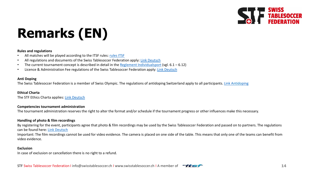

# **Remarks (EN)**

#### **Rules and regulations**

- All matches will be played according to the ITSF rules: [rules](https://www.tablesoccer.org/page/rules) ITSF
- All regulations and documents of the Swiss Tablesoccer Federation apply: [Link Deutsch](https://swisstablesoccer.ch/index.php/de/verband/dokumente)
- The current tournament concept is described in detail in the [Reglement Individualsport](https://swisstablesoccer.ch/media/attachments/2019/12/25/reglement-individualsport1.pdf) (vgl.  $6.1 6.12$ )
- Licence & Administration Fee regulations of the Swiss Tablesoccer Federation apply: [Link Deutsch](https://swisstablesoccer.ch/index.php/de/spielbetrieb/lizenzierung)

#### **Anti Doping**

The Swiss Tablesoccer Federation is a member of Swiss Olympic. The regulations of antidoping Switzerland apply to all participants. [Link Antidoping](https://www.antidoping.ch/de)

#### **Ethical Charta**

The STF Ethics Charta applies: [Link Deutsch](https://swisstablesoccer.ch/media/attachments/2018/12/18/ethik_charta_stf_2018_de_20181106.pdf)

#### **Competencies tournament administration**

The tournament administration reserves the right to alter the format and/or schedule if the tournament progress or other influences make this necessary.

#### **Handling of photo & film recordings**

By registering for the event, participants agree that photo & film recordings may be used by the Swiss Tablesoccer Federation and passed on to partners. The regulations can be found here: [Link Deutsch](https://swisstablesoccer.ch/index.php/de/spielbetrieb/lizenzierung)

Important: The film recordings cannot be used for video evidence. The camera is placed on one side of the table. This means that only one of the teams can benefit from video evidence.

#### **Exclusion**

In case of exclusion or cancellation there is no right to a refund.

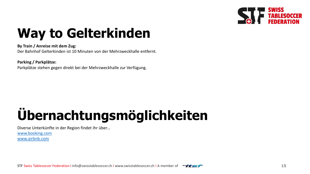

# **Way to Gelterkinden**

### **By Train / Anreise mit dem Zug:**

Der Bahnhof Gelterkinden ist 10 Minuten von der Mehrzweckhalle entfernt.

### **Parking / Parkplätze:**

Parkplätze stehen gegen direkt bei der Mehrzweckhalle zur Verfügung.

# **Übernachtungsmöglichkeiten**

Diverse Unterkünfte in der Region findet ihr über… [www.booking.com](http://www.booking.com/) [www.airbnb.com](http://www.airbnb.com/)

STF Swiss Tablesoccer Federation I info@swisstablesoccer.ch I www.swisstablesoccer.ch I A member of  $\overline{\phantom{a}}\overline{\phantom{a}}\overline{\phantom{a}}\overline{\phantom{a}}\overline{\phantom{a}}\overline{\phantom{a}}$  15

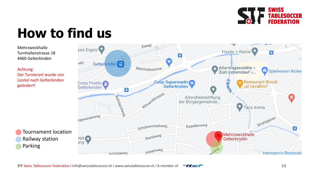

# **How to find us**